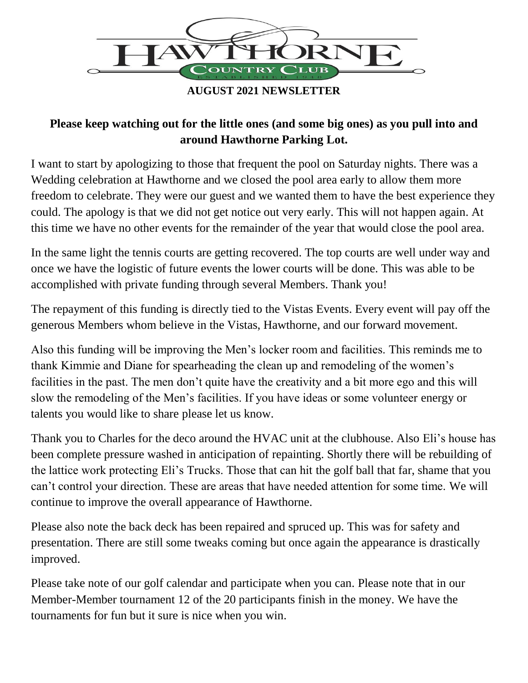

**AUGUST 2021 NEWSLETTER**

## **Please keep watching out for the little ones (and some big ones) as you pull into and around Hawthorne Parking Lot.**

I want to start by apologizing to those that frequent the pool on Saturday nights. There was a Wedding celebration at Hawthorne and we closed the pool area early to allow them more freedom to celebrate. They were our guest and we wanted them to have the best experience they could. The apology is that we did not get notice out very early. This will not happen again. At this time we have no other events for the remainder of the year that would close the pool area.

In the same light the tennis courts are getting recovered. The top courts are well under way and once we have the logistic of future events the lower courts will be done. This was able to be accomplished with private funding through several Members. Thank you!

The repayment of this funding is directly tied to the Vistas Events. Every event will pay off the generous Members whom believe in the Vistas, Hawthorne, and our forward movement.

Also this funding will be improving the Men's locker room and facilities. This reminds me to thank Kimmie and Diane for spearheading the clean up and remodeling of the women's facilities in the past. The men don't quite have the creativity and a bit more ego and this will slow the remodeling of the Men's facilities. If you have ideas or some volunteer energy or talents you would like to share please let us know.

Thank you to Charles for the deco around the HVAC unit at the clubhouse. Also Eli's house has been complete pressure washed in anticipation of repainting. Shortly there will be rebuilding of the lattice work protecting Eli's Trucks. Those that can hit the golf ball that far, shame that you can't control your direction. These are areas that have needed attention for some time. We will continue to improve the overall appearance of Hawthorne.

Please also note the back deck has been repaired and spruced up. This was for safety and presentation. There are still some tweaks coming but once again the appearance is drastically improved.

Please take note of our golf calendar and participate when you can. Please note that in our Member-Member tournament 12 of the 20 participants finish in the money. We have the tournaments for fun but it sure is nice when you win.